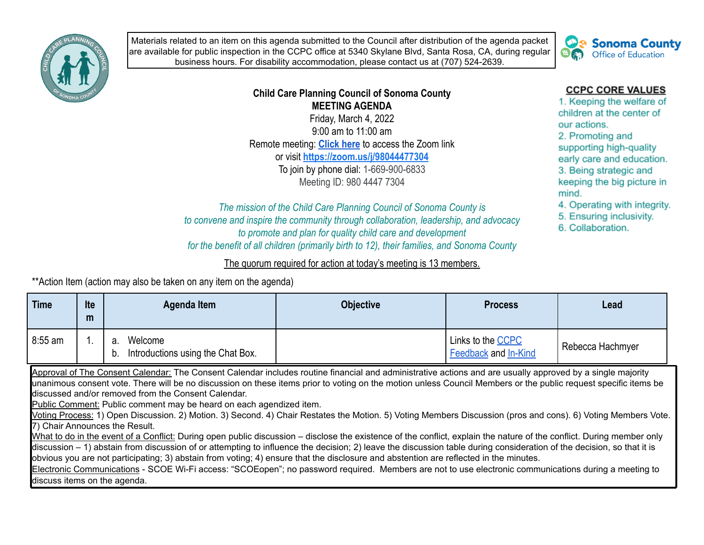

Materials related to an item on this agenda submitted to the Council after distribution of the agenda packet are available for public inspection in the CCPC office at 5340 Skylane Blvd, Santa Rosa, CA, during regular business hours. For disability accommodation, please contact us at (707) 524-2639.



## **Child Care Planning Council of Sonoma County MEETING AGENDA**

Friday, March 4, 2022 9:00 am to 11:00 am Remote meeting: **[Click here](https://zoom.us/j/98044477304)** to access the Zoom link or visit **<https://zoom.us/j/98044477304>** To join by phone dial: 1-669-900-6833 Meeting ID: 980 4447 7304

*The mission of the Child Care Planning Council of Sonoma County is to convene and inspire the community through collaboration, leadership, and advocacy to promote and plan for quality child care and development for the benefit of all children (primarily birth to 12), their families, and Sonoma County*

## The quorum required for action at today's meeting is 13 members.

\*\*Action Item (action may also be taken on any item on the agenda)

| <b>Time</b> | Ite<br>m | Agenda Item                                              | <b>Objective</b> | <b>Process</b>                                   | Lead             |
|-------------|----------|----------------------------------------------------------|------------------|--------------------------------------------------|------------------|
| 8:55 am     |          | Welcome<br>а.<br>Introductions using the Chat Box.<br>b. |                  | Links to the <b>CCPC</b><br>Feedback and In-Kind | Rebecca Hachmyer |

Approval of The Consent Calendar: The Consent Calendar includes routine financial and administrative actions and are usually approved by a single majority unanimous consent vote. There will be no discussion on these items prior to voting on the motion unless Council Members or the public request specific items be discussed and/or removed from the Consent Calendar.

Public Comment: Public comment may be heard on each agendized item.

Voting Process: 1) Open Discussion. 2) Motion. 3) Second. 4) Chair Restates the Motion. 5) Voting Members Discussion (pros and cons). 6) Voting Members Vote. 7) Chair Announces the Result.

What to do in the event of a Conflict: During open public discussion – disclose the existence of the conflict, explain the nature of the conflict. During member only discussion – 1) abstain from discussion of or attempting to influence the decision; 2) leave the discussion table during consideration of the decision, so that it is obvious you are not participating; 3) abstain from voting; 4) ensure that the disclosure and abstention are reflected in the minutes.

Electronic Communications - SCOE Wi-Fi access: "SCOEopen"; no password required. Members are not to use electronic communications during a meeting to discuss items on the agenda.

## **CCPC CORE VALUES**

1. Keeping the welfare of children at the center of our actions. 2. Promoting and supporting high-quality early care and education. 3. Being strategic and keeping the big picture in mind.

- 4. Operating with integrity.
- 5. Ensuring inclusivity.
- 6. Collaboration.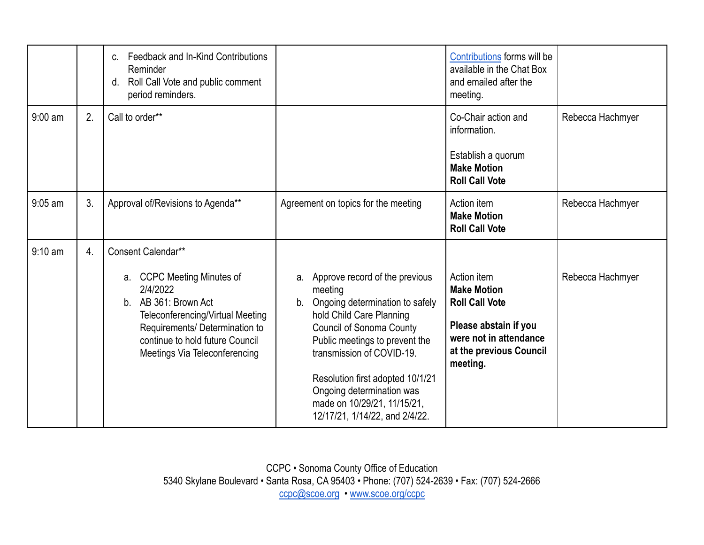|                   |    | Feedback and In-Kind Contributions<br>$C_{n}$<br>Reminder<br>Roll Call Vote and public comment<br>d.<br>period reminders.                                                                                                                   |                                                                                                                                                                                                                                                                                                                                                       | Contributions forms will be<br>available in the Chat Box<br>and emailed after the<br>meeting.                                                        |                  |
|-------------------|----|---------------------------------------------------------------------------------------------------------------------------------------------------------------------------------------------------------------------------------------------|-------------------------------------------------------------------------------------------------------------------------------------------------------------------------------------------------------------------------------------------------------------------------------------------------------------------------------------------------------|------------------------------------------------------------------------------------------------------------------------------------------------------|------------------|
| $9:00$ am         | 2. | Call to order**                                                                                                                                                                                                                             |                                                                                                                                                                                                                                                                                                                                                       | Co-Chair action and<br>information.<br>Establish a quorum<br><b>Make Motion</b><br><b>Roll Call Vote</b>                                             | Rebecca Hachmyer |
| $9:05$ am         | 3. | Approval of/Revisions to Agenda**                                                                                                                                                                                                           | Agreement on topics for the meeting                                                                                                                                                                                                                                                                                                                   | Action item<br><b>Make Motion</b><br><b>Roll Call Vote</b>                                                                                           | Rebecca Hachmyer |
| $9:10 \text{ am}$ | 4. | Consent Calendar**<br><b>CCPC Meeting Minutes of</b><br>а.<br>2/4/2022<br>AB 361: Brown Act<br>b.<br>Teleconferencing/Virtual Meeting<br>Requirements/ Determination to<br>continue to hold future Council<br>Meetings Via Teleconferencing | a. Approve record of the previous<br>meeting<br>Ongoing determination to safely<br>b.<br>hold Child Care Planning<br><b>Council of Sonoma County</b><br>Public meetings to prevent the<br>transmission of COVID-19.<br>Resolution first adopted 10/1/21<br>Ongoing determination was<br>made on 10/29/21, 11/15/21,<br>12/17/21, 1/14/22, and 2/4/22. | Action item<br><b>Make Motion</b><br><b>Roll Call Vote</b><br>Please abstain if you<br>were not in attendance<br>at the previous Council<br>meeting. | Rebecca Hachmyer |

CCPC • Sonoma County Office of Education 5340 Skylane Boulevard • Santa Rosa, CA 95403 • Phone: (707) 524-2639 • Fax: (707) 524-2666 [ccpc@scoe.org](mailto:ccpc@scoe.org) • [www.scoe.org/ccpc](http://www.scoe.org/ccpc)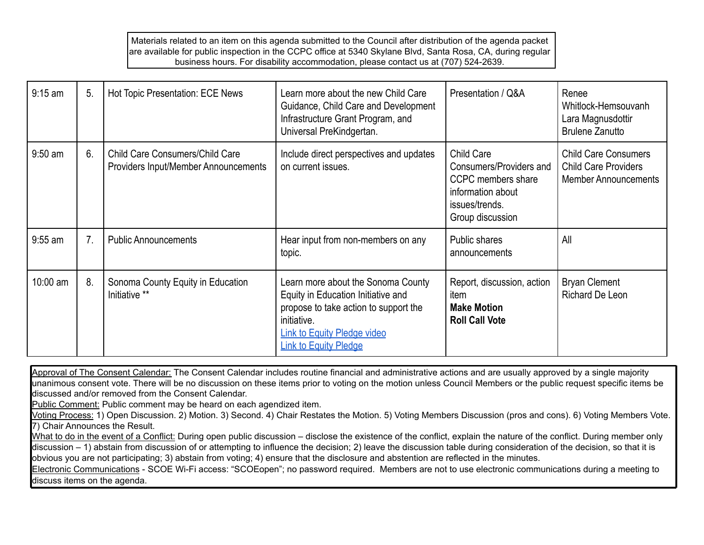Materials related to an item on this agenda submitted to the Council after distribution of the agenda packet are available for public inspection in the CCPC office at 5340 Skylane Blvd, Santa Rosa, CA, during regular business hours. For disability accommodation, please contact us at (707) 524-2639.

| $9:15$ am | 5.             | Hot Topic Presentation: ECE News                                               | Learn more about the new Child Care<br>Guidance, Child Care and Development<br>Infrastructure Grant Program, and<br>Universal PreKindgertan.                                                           | Presentation / Q&A                                                                                                            | Renee<br>Whitlock-Hemsouvanh<br>Lara Magnusdottir<br><b>Brulene Zanutto</b>               |
|-----------|----------------|--------------------------------------------------------------------------------|--------------------------------------------------------------------------------------------------------------------------------------------------------------------------------------------------------|-------------------------------------------------------------------------------------------------------------------------------|-------------------------------------------------------------------------------------------|
| $9:50$ am | 6.             | <b>Child Care Consumers/Child Care</b><br>Providers Input/Member Announcements | Include direct perspectives and updates<br>on current issues.                                                                                                                                          | <b>Child Care</b><br>Consumers/Providers and<br>CCPC members share<br>information about<br>issues/trends.<br>Group discussion | <b>Child Care Consumers</b><br><b>Child Care Providers</b><br><b>Member Announcements</b> |
| $9:55$ am | 7 <sub>1</sub> | <b>Public Announcements</b>                                                    | Hear input from non-members on any<br>topic.                                                                                                                                                           | Public shares<br>announcements                                                                                                | All                                                                                       |
| 10:00 am  | 8.             | Sonoma County Equity in Education<br>Initiative **                             | Learn more about the Sonoma County<br>Equity in Education Initiative and<br>propose to take action to support the<br>initiative.<br><b>Link to Equity Pledge video</b><br><b>Link to Equity Pledge</b> | Report, discussion, action<br>item<br><b>Make Motion</b><br><b>Roll Call Vote</b>                                             | <b>Bryan Clement</b><br><b>Richard De Leon</b>                                            |

Approval of The Consent Calendar: The Consent Calendar includes routine financial and administrative actions and are usually approved by a single majority unanimous consent vote. There will be no discussion on these items prior to voting on the motion unless Council Members or the public request specific items be discussed and/or removed from the Consent Calendar.

Public Comment: Public comment may be heard on each agendized item.

Voting Process: 1) Open Discussion. 2) Motion. 3) Second. 4) Chair Restates the Motion. 5) Voting Members Discussion (pros and cons). 6) Voting Members Vote. 7) Chair Announces the Result.

What to do in the event of a Conflict: During open public discussion – disclose the existence of the conflict, explain the nature of the conflict. During member only discussion – 1) abstain from discussion of or attempting to influence the decision; 2) leave the discussion table during consideration of the decision, so that it is obvious you are not participating; 3) abstain from voting; 4) ensure that the disclosure and abstention are reflected in the minutes.

Electronic Communications - SCOE Wi-Fi access: "SCOEopen"; no password required. Members are not to use electronic communications during a meeting to discuss items on the agenda.